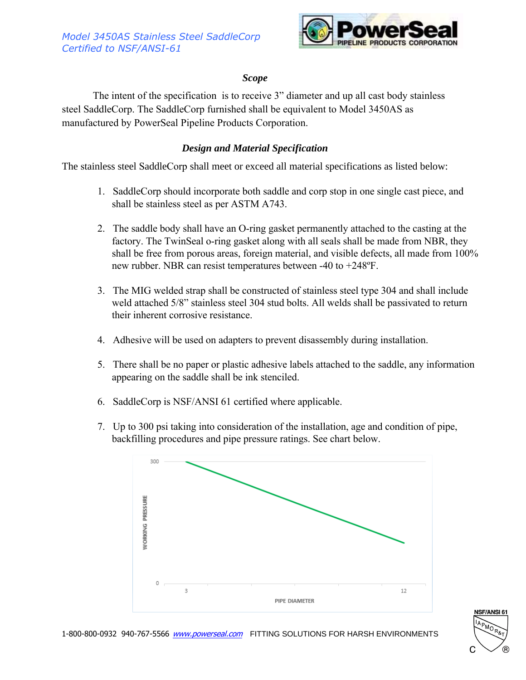

## *Scope*

The intent of the specification is to receive 3" diameter and up all cast body stainless steel SaddleCorp. The SaddleCorp furnished shall be equivalent to Model 3450AS as manufactured by PowerSeal Pipeline Products Corporation.

## *Design and Material Specification*

The stainless steel SaddleCorp shall meet or exceed all material specifications as listed below:

- 1. SaddleCorp should incorporate both saddle and corp stop in one single cast piece, and shall be stainless steel as per ASTM A743.
- 2. The saddle body shall have an O-ring gasket permanently attached to the casting at the factory. The TwinSeal o-ring gasket along with all seals shall be made from NBR, they shall be free from porous areas, foreign material, and visible defects, all made from 100% new rubber. NBR can resist temperatures between -40 to +248ºF.
- 3. The MIG welded strap shall be constructed of stainless steel type 304 and shall include weld attached 5/8" stainless steel 304 stud bolts. All welds shall be passivated to return their inherent corrosive resistance.
- 4. Adhesive will be used on adapters to prevent disassembly during installation.
- 5. There shall be no paper or plastic adhesive labels attached to the saddle, any information appearing on the saddle shall be ink stenciled.
- 6. SaddleCorp is NSF/ANSI 61 certified where applicable.
- 7. Up to 300 psi taking into consideration of the installation, age and condition of pipe, backfilling procedures and pipe pressure ratings. See chart below.